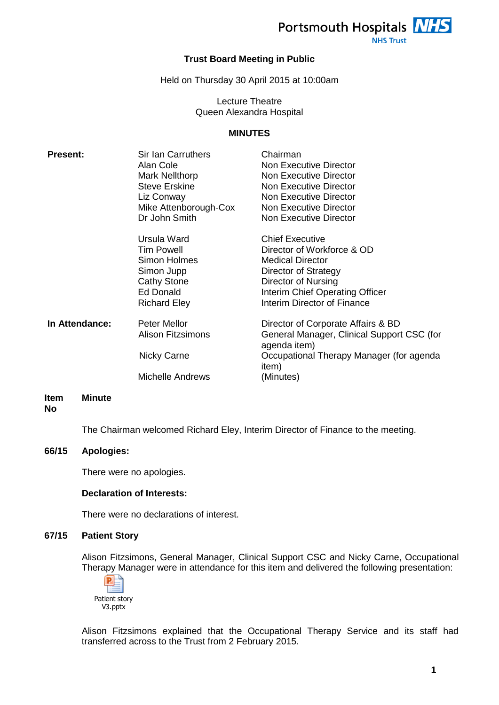

**NHS Trust** 

## **Trust Board Meeting in Public**

Held on Thursday 30 April 2015 at 10:00am

## Lecture Theatre Queen Alexandra Hospital

#### **MINUTES**

| <b>Present:</b> | Sir Ian Carruthers<br>Alan Cole<br>Mark Nellthorp<br><b>Steve Erskine</b><br>Liz Conway<br>Mike Attenborough-Cox<br>Dr John Smith | Chairman<br>Non Executive Director<br>Non Executive Director<br>Non Executive Director<br><b>Non Executive Director</b><br>Non Executive Director<br><b>Non Executive Director</b>               |
|-----------------|-----------------------------------------------------------------------------------------------------------------------------------|--------------------------------------------------------------------------------------------------------------------------------------------------------------------------------------------------|
|                 | Ursula Ward<br><b>Tim Powell</b><br>Simon Holmes<br>Simon Jupp<br>Cathy Stone<br>Ed Donald<br><b>Richard Eley</b>                 | <b>Chief Executive</b><br>Director of Workforce & OD<br><b>Medical Director</b><br>Director of Strategy<br>Director of Nursing<br>Interim Chief Operating Officer<br>Interim Director of Finance |
| In Attendance:  | Peter Mellor<br><b>Alison Fitzsimons</b><br>Nicky Carne<br><b>Michelle Andrews</b>                                                | Director of Corporate Affairs & BD<br>General Manager, Clinical Support CSC (for<br>agenda item)<br>Occupational Therapy Manager (for agenda<br>item)<br>(Minutes)                               |

#### **Item No Minute**

The Chairman welcomed Richard Eley, Interim Director of Finance to the meeting.

#### **66/15 Apologies:**

There were no apologies.

#### **Declaration of Interests:**

There were no declarations of interest.

#### **67/15 Patient Story**

Alison Fitzsimons, General Manager, Clinical Support CSC and Nicky Carne, Occupational Therapy Manager were in attendance for this item and delivered the following presentation:



Alison Fitzsimons explained that the Occupational Therapy Service and its staff had transferred across to the Trust from 2 February 2015.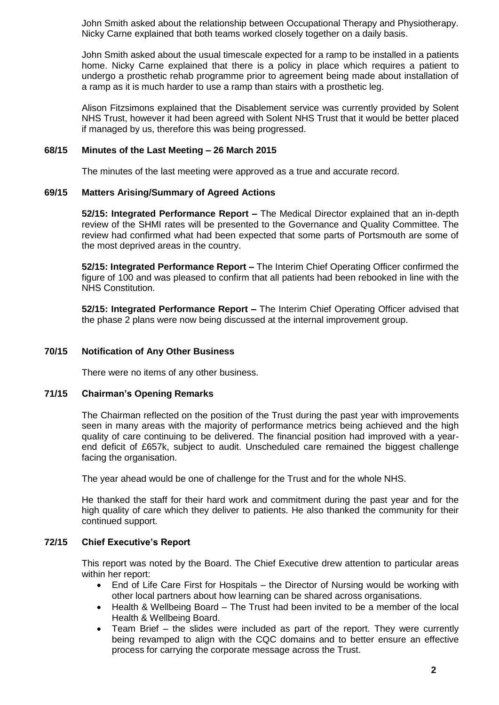John Smith asked about the relationship between Occupational Therapy and Physiotherapy. Nicky Carne explained that both teams worked closely together on a daily basis.

John Smith asked about the usual timescale expected for a ramp to be installed in a patients home. Nicky Carne explained that there is a policy in place which requires a patient to undergo a prosthetic rehab programme prior to agreement being made about installation of a ramp as it is much harder to use a ramp than stairs with a prosthetic leg.

Alison Fitzsimons explained that the Disablement service was currently provided by Solent NHS Trust, however it had been agreed with Solent NHS Trust that it would be better placed if managed by us, therefore this was being progressed.

## **68/15 Minutes of the Last Meeting – 26 March 2015**

The minutes of the last meeting were approved as a true and accurate record.

## **69/15 Matters Arising/Summary of Agreed Actions**

**52/15: Integrated Performance Report –** The Medical Director explained that an in-depth review of the SHMI rates will be presented to the Governance and Quality Committee. The review had confirmed what had been expected that some parts of Portsmouth are some of the most deprived areas in the country.

**52/15: Integrated Performance Report –** The Interim Chief Operating Officer confirmed the figure of 100 and was pleased to confirm that all patients had been rebooked in line with the NHS Constitution.

**52/15: Integrated Performance Report –** The Interim Chief Operating Officer advised that the phase 2 plans were now being discussed at the internal improvement group.

## **70/15 Notification of Any Other Business**

There were no items of any other business.

#### **71/15 Chairman's Opening Remarks**

The Chairman reflected on the position of the Trust during the past year with improvements seen in many areas with the majority of performance metrics being achieved and the high quality of care continuing to be delivered. The financial position had improved with a yearend deficit of £657k, subject to audit. Unscheduled care remained the biggest challenge facing the organisation.

The year ahead would be one of challenge for the Trust and for the whole NHS.

He thanked the staff for their hard work and commitment during the past year and for the high quality of care which they deliver to patients. He also thanked the community for their continued support.

## **72/15 Chief Executive's Report**

This report was noted by the Board. The Chief Executive drew attention to particular areas within her report:

- End of Life Care First for Hospitals the Director of Nursing would be working with other local partners about how learning can be shared across organisations.
- Health & Wellbeing Board The Trust had been invited to be a member of the local Health & Wellbeing Board.
- Team Brief the slides were included as part of the report. They were currently being revamped to align with the CQC domains and to better ensure an effective process for carrying the corporate message across the Trust.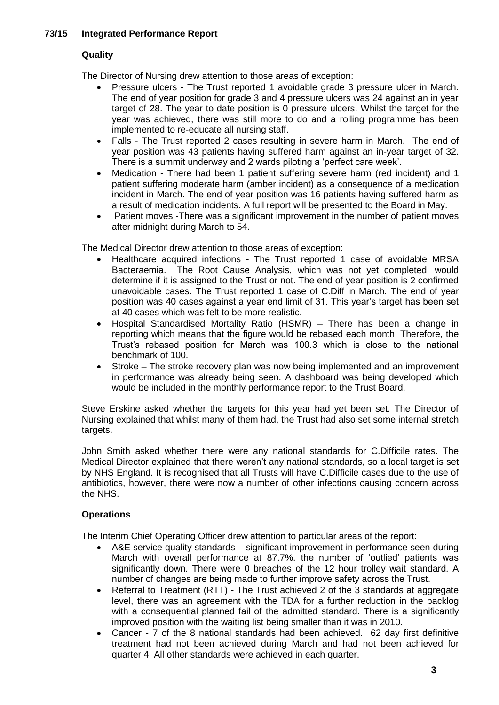## **73/15 Integrated Performance Report**

## **Quality**

The Director of Nursing drew attention to those areas of exception:

- Pressure ulcers The Trust reported 1 avoidable grade 3 pressure ulcer in March. The end of year position for grade 3 and 4 pressure ulcers was 24 against an in year target of 28. The year to date position is 0 pressure ulcers. Whilst the target for the year was achieved, there was still more to do and a rolling programme has been implemented to re-educate all nursing staff.
- Falls The Trust reported 2 cases resulting in severe harm in March. The end of year position was 43 patients having suffered harm against an in-year target of 32. There is a summit underway and 2 wards piloting a 'perfect care week'.
- Medication There had been 1 patient suffering severe harm (red incident) and 1 patient suffering moderate harm (amber incident) as a consequence of a medication incident in March. The end of year position was 16 patients having suffered harm as a result of medication incidents. A full report will be presented to the Board in May.
- Patient moves -There was a significant improvement in the number of patient moves after midnight during March to 54.

The Medical Director drew attention to those areas of exception:

- Healthcare acquired infections The Trust reported 1 case of avoidable MRSA Bacteraemia. The Root Cause Analysis, which was not yet completed, would determine if it is assigned to the Trust or not. The end of year position is 2 confirmed unavoidable cases. The Trust reported 1 case of C.Diff in March. The end of year position was 40 cases against a year end limit of 31. This year's target has been set at 40 cases which was felt to be more realistic.
- Hospital Standardised Mortality Ratio (HSMR) There has been a change in reporting which means that the figure would be rebased each month. Therefore, the Trust's rebased position for March was 100.3 which is close to the national benchmark of 100.
- Stroke The stroke recovery plan was now being implemented and an improvement in performance was already being seen. A dashboard was being developed which would be included in the monthly performance report to the Trust Board.

Steve Erskine asked whether the targets for this year had yet been set. The Director of Nursing explained that whilst many of them had, the Trust had also set some internal stretch targets.

John Smith asked whether there were any national standards for C.Difficile rates. The Medical Director explained that there weren't any national standards, so a local target is set by NHS England. It is recognised that all Trusts will have C.Difficile cases due to the use of antibiotics, however, there were now a number of other infections causing concern across the NHS.

## **Operations**

The Interim Chief Operating Officer drew attention to particular areas of the report:

- A&E service quality standards significant improvement in performance seen during March with overall performance at 87.7%. the number of 'outlied' patients was significantly down. There were 0 breaches of the 12 hour trolley wait standard. A number of changes are being made to further improve safety across the Trust.
- Referral to Treatment (RTT) The Trust achieved 2 of the 3 standards at aggregate level, there was an agreement with the TDA for a further reduction in the backlog with a consequential planned fail of the admitted standard. There is a significantly improved position with the waiting list being smaller than it was in 2010.
- Cancer 7 of the 8 national standards had been achieved. 62 day first definitive treatment had not been achieved during March and had not been achieved for quarter 4. All other standards were achieved in each quarter.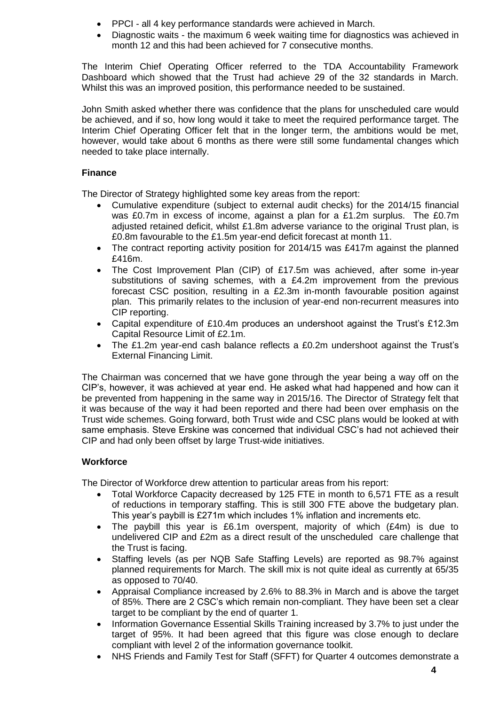- PPCI all 4 key performance standards were achieved in March.
- Diagnostic waits the maximum 6 week waiting time for diagnostics was achieved in month 12 and this had been achieved for 7 consecutive months.

The Interim Chief Operating Officer referred to the TDA Accountability Framework Dashboard which showed that the Trust had achieve 29 of the 32 standards in March. Whilst this was an improved position, this performance needed to be sustained.

John Smith asked whether there was confidence that the plans for unscheduled care would be achieved, and if so, how long would it take to meet the required performance target. The Interim Chief Operating Officer felt that in the longer term, the ambitions would be met, however, would take about 6 months as there were still some fundamental changes which needed to take place internally.

## **Finance**

The Director of Strategy highlighted some key areas from the report:

- Cumulative expenditure (subject to external audit checks) for the 2014/15 financial was £0.7m in excess of income, against a plan for a £1.2m surplus. The £0.7m adjusted retained deficit, whilst £1.8m adverse variance to the original Trust plan, is £0.8m favourable to the £1.5m year-end deficit forecast at month 11.
- The contract reporting activity position for 2014/15 was £417m against the planned £416m.
- The Cost Improvement Plan (CIP) of £17.5m was achieved, after some in-year substitutions of saving schemes, with a £4.2m improvement from the previous forecast CSC position, resulting in a £2.3m in-month favourable position against plan. This primarily relates to the inclusion of year-end non-recurrent measures into CIP reporting.
- Capital expenditure of £10.4m produces an undershoot against the Trust's £12.3m Capital Resource Limit of £2.1m.
- The £1.2m year-end cash balance reflects a £0.2m undershoot against the Trust's External Financing Limit.

The Chairman was concerned that we have gone through the year being a way off on the CIP's, however, it was achieved at year end. He asked what had happened and how can it be prevented from happening in the same way in 2015/16. The Director of Strategy felt that it was because of the way it had been reported and there had been over emphasis on the Trust wide schemes. Going forward, both Trust wide and CSC plans would be looked at with same emphasis. Steve Erskine was concerned that individual CSC's had not achieved their CIP and had only been offset by large Trust-wide initiatives.

# **Workforce**

The Director of Workforce drew attention to particular areas from his report:

- Total Workforce Capacity decreased by 125 FTE in month to 6,571 FTE as a result of reductions in temporary staffing. This is still 300 FTE above the budgetary plan. This year's paybill is £271m which includes 1% inflation and increments etc.
- The paybill this year is £6.1m overspent, majority of which (£4m) is due to undelivered CIP and £2m as a direct result of the unscheduled care challenge that the Trust is facing.
- Staffing levels (as per NQB Safe Staffing Levels) are reported as 98.7% against planned requirements for March. The skill mix is not quite ideal as currently at 65/35 as opposed to 70/40.
- Appraisal Compliance increased by 2.6% to 88.3% in March and is above the target of 85%. There are 2 CSC's which remain non-compliant. They have been set a clear target to be compliant by the end of quarter 1.
- Information Governance Essential Skills Training increased by 3.7% to just under the target of 95%. It had been agreed that this figure was close enough to declare compliant with level 2 of the information governance toolkit.
- NHS Friends and Family Test for Staff (SFFT) for Quarter 4 outcomes demonstrate a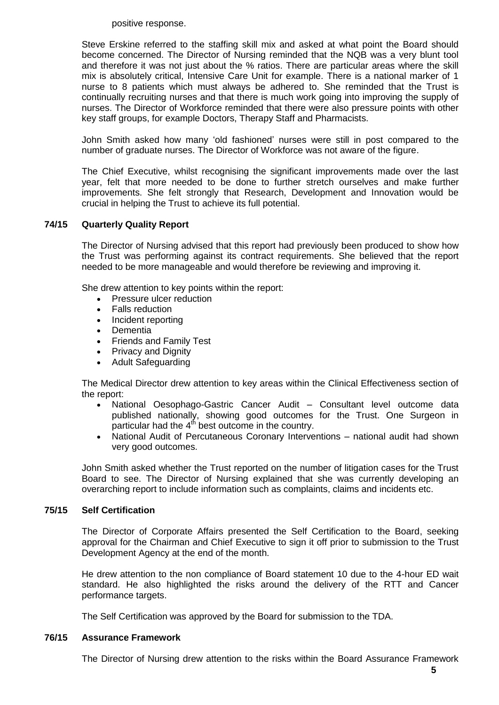positive response.

Steve Erskine referred to the staffing skill mix and asked at what point the Board should become concerned. The Director of Nursing reminded that the NQB was a very blunt tool and therefore it was not just about the % ratios. There are particular areas where the skill mix is absolutely critical, Intensive Care Unit for example. There is a national marker of 1 nurse to 8 patients which must always be adhered to. She reminded that the Trust is continually recruiting nurses and that there is much work going into improving the supply of nurses. The Director of Workforce reminded that there were also pressure points with other key staff groups, for example Doctors, Therapy Staff and Pharmacists.

John Smith asked how many 'old fashioned' nurses were still in post compared to the number of graduate nurses. The Director of Workforce was not aware of the figure.

The Chief Executive, whilst recognising the significant improvements made over the last year, felt that more needed to be done to further stretch ourselves and make further improvements. She felt strongly that Research, Development and Innovation would be crucial in helping the Trust to achieve its full potential.

## **74/15 Quarterly Quality Report**

The Director of Nursing advised that this report had previously been produced to show how the Trust was performing against its contract requirements. She believed that the report needed to be more manageable and would therefore be reviewing and improving it.

She drew attention to key points within the report:

- Pressure ulcer reduction
- Falls reduction
- Incident reporting
- Dementia
- Friends and Family Test
- Privacy and Dignity
- Adult Safeguarding

The Medical Director drew attention to key areas within the Clinical Effectiveness section of the report:

- National Oesophago-Gastric Cancer Audit Consultant level outcome data published nationally, showing good outcomes for the Trust. One Surgeon in particular had the  $4<sup>th</sup>$  best outcome in the country.
- National Audit of Percutaneous Coronary Interventions national audit had shown very good outcomes.

John Smith asked whether the Trust reported on the number of litigation cases for the Trust Board to see. The Director of Nursing explained that she was currently developing an overarching report to include information such as complaints, claims and incidents etc.

## **75/15 Self Certification**

The Director of Corporate Affairs presented the Self Certification to the Board, seeking approval for the Chairman and Chief Executive to sign it off prior to submission to the Trust Development Agency at the end of the month.

He drew attention to the non compliance of Board statement 10 due to the 4-hour ED wait standard. He also highlighted the risks around the delivery of the RTT and Cancer performance targets.

The Self Certification was approved by the Board for submission to the TDA.

## **76/15 Assurance Framework**

The Director of Nursing drew attention to the risks within the Board Assurance Framework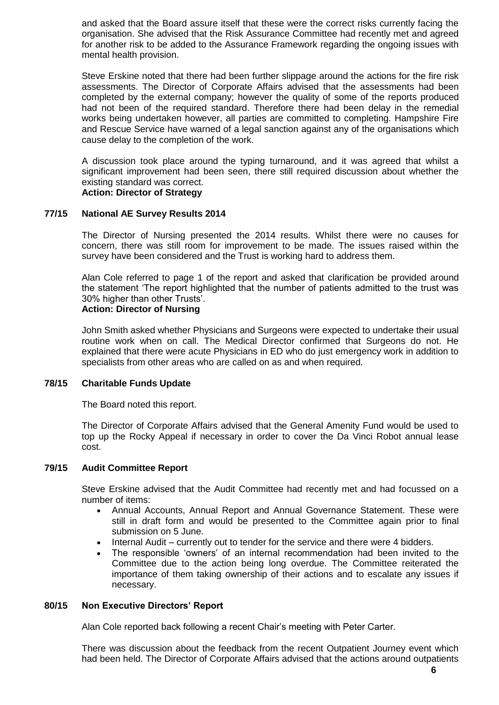and asked that the Board assure itself that these were the correct risks currently facing the organisation. She advised that the Risk Assurance Committee had recently met and agreed for another risk to be added to the Assurance Framework regarding the ongoing issues with mental health provision.

Steve Erskine noted that there had been further slippage around the actions for the fire risk assessments. The Director of Corporate Affairs advised that the assessments had been completed by the external company; however the quality of some of the reports produced had not been of the required standard. Therefore there had been delay in the remedial works being undertaken however, all parties are committed to completing. Hampshire Fire and Rescue Service have warned of a legal sanction against any of the organisations which cause delay to the completion of the work.

A discussion took place around the typing turnaround, and it was agreed that whilst a significant improvement had been seen, there still required discussion about whether the existing standard was correct.

# **Action: Director of Strategy**

## **77/15 National AE Survey Results 2014**

The Director of Nursing presented the 2014 results. Whilst there were no causes for concern, there was still room for improvement to be made. The issues raised within the survey have been considered and the Trust is working hard to address them.

Alan Cole referred to page 1 of the report and asked that clarification be provided around the statement 'The report highlighted that the number of patients admitted to the trust was 30% higher than other Trusts'.

# **Action: Director of Nursing**

John Smith asked whether Physicians and Surgeons were expected to undertake their usual routine work when on call. The Medical Director confirmed that Surgeons do not. He explained that there were acute Physicians in ED who do just emergency work in addition to specialists from other areas who are called on as and when required.

#### **78/15 Charitable Funds Update**

The Board noted this report.

The Director of Corporate Affairs advised that the General Amenity Fund would be used to top up the Rocky Appeal if necessary in order to cover the Da Vinci Robot annual lease cost.

#### **79/15 Audit Committee Report**

Steve Erskine advised that the Audit Committee had recently met and had focussed on a number of items:

- Annual Accounts, Annual Report and Annual Governance Statement. These were still in draft form and would be presented to the Committee again prior to final submission on 5 June.
- Internal Audit currently out to tender for the service and there were 4 bidders.
- The responsible 'owners' of an internal recommendation had been invited to the Committee due to the action being long overdue. The Committee reiterated the importance of them taking ownership of their actions and to escalate any issues if necessary.

#### **80/15 Non Executive Directors' Report**

Alan Cole reported back following a recent Chair's meeting with Peter Carter.

There was discussion about the feedback from the recent Outpatient Journey event which had been held. The Director of Corporate Affairs advised that the actions around outpatients